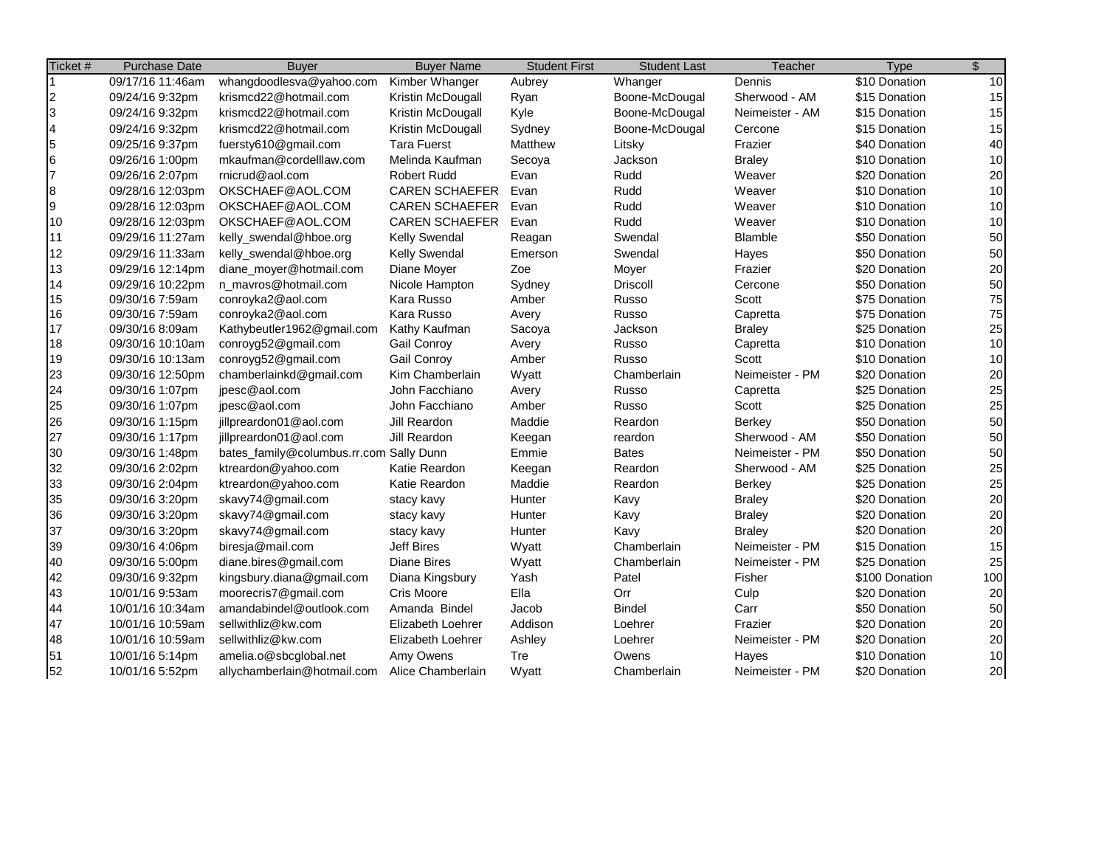| Ticket #                 | <b>Purchase Date</b> | <b>Buyer</b>                            | <b>Buyer Name</b>     | <b>Student First</b> | <b>Student Last</b> | Teacher         | <b>Type</b>    | \$  |
|--------------------------|----------------------|-----------------------------------------|-----------------------|----------------------|---------------------|-----------------|----------------|-----|
|                          | 09/17/16 11:46am     | whangdoodlesva@yahoo.com                | Kimber Whanger        | Aubrey               | Whanger             | Dennis          | \$10 Donation  | 10  |
| $\overline{c}$           | 09/24/16 9:32pm      | krismcd22@hotmail.com                   | Kristin McDougall     | Ryan                 | Boone-McDougal      | Sherwood - AM   | \$15 Donation  | 15  |
| $\overline{3}$           | 09/24/16 9:32pm      | krismcd22@hotmail.com                   | Kristin McDougall     | Kyle                 | Boone-McDougal      | Neimeister - AM | \$15 Donation  | 15  |
| $\overline{\mathcal{A}}$ | 09/24/16 9:32pm      | krismcd22@hotmail.com                   | Kristin McDougall     | Sydney               | Boone-McDougal      | Cercone         | \$15 Donation  | 15  |
| $\overline{\mathbf{5}}$  | 09/25/16 9:37pm      | fuersty610@gmail.com                    | <b>Tara Fuerst</b>    | Matthew              | Litsky              | Frazier         | \$40 Donation  | 40  |
| $6\phantom{.}6$          | 09/26/16 1:00pm      | mkaufman@cordelllaw.com                 | Melinda Kaufman       | Secoya               | Jackson             | <b>Braley</b>   | \$10 Donation  | 10  |
| 7                        | 09/26/16 2:07pm      | rnicrud@aol.com                         | <b>Robert Rudd</b>    | Evan                 | Rudd                | Weaver          | \$20 Donation  | 20  |
| $\boldsymbol{8}$         | 09/28/16 12:03pm     | OKSCHAEF@AOL.COM                        | <b>CAREN SCHAEFER</b> | Evan                 | Rudd                | Weaver          | \$10 Donation  | 10  |
| 9                        | 09/28/16 12:03pm     | OKSCHAEF@AOL.COM                        | <b>CAREN SCHAEFER</b> | Evan                 | Rudd                | Weaver          | \$10 Donation  | 10  |
| 10                       | 09/28/16 12:03pm     | OKSCHAEF@AOL.COM                        | <b>CAREN SCHAEFER</b> | Evan                 | Rudd                | Weaver          | \$10 Donation  | 10  |
| 11                       | 09/29/16 11:27am     | kelly_swendal@hboe.org                  | Kelly Swendal         | Reagan               | Swendal             | Blamble         | \$50 Donation  | 50  |
| 12                       | 09/29/16 11:33am     | kelly_swendal@hboe.org                  | <b>Kelly Swendal</b>  | Emerson              | Swendal             | Hayes           | \$50 Donation  | 50  |
| 13                       | 09/29/16 12:14pm     | diane_moyer@hotmail.com                 | Diane Moyer           | Zoe                  | Moyer               | Frazier         | \$20 Donation  | 20  |
| 14                       | 09/29/16 10:22pm     | n_mavros@hotmail.com                    | Nicole Hampton        | Sydney               | <b>Driscoll</b>     | Cercone         | \$50 Donation  | 50  |
| 15                       | 09/30/16 7:59am      | conroyka2@aol.com                       | Kara Russo            | Amber                | Russo               | Scott           | \$75 Donation  | 75  |
| 16                       | 09/30/16 7:59am      | conroyka2@aol.com                       | Kara Russo            | Avery                | Russo               | Capretta        | \$75 Donation  | 75  |
| 17                       | 09/30/16 8:09am      | Kathybeutler1962@gmail.com              | Kathy Kaufman         | Sacoya               | Jackson             | <b>Braley</b>   | \$25 Donation  | 25  |
| 18                       | 09/30/16 10:10am     | conroyg52@gmail.com                     | Gail Conroy           | Avery                | Russo               | Capretta        | \$10 Donation  | 10  |
| 19                       | 09/30/16 10:13am     | conroyg52@gmail.com                     | <b>Gail Conroy</b>    | Amber                | Russo               | Scott           | \$10 Donation  | 10  |
| 23                       | 09/30/16 12:50pm     | chamberlainkd@gmail.com                 | Kim Chamberlain       | Wyatt                | Chamberlain         | Neimeister - PM | \$20 Donation  | 20  |
| 24                       | 09/30/16 1:07pm      | ipesc@aol.com                           | John Facchiano        | Avery                | Russo               | Capretta        | \$25 Donation  | 25  |
| 25                       | 09/30/16 1:07pm      | jpesc@aol.com                           | John Facchiano        | Amber                | Russo               | Scott           | \$25 Donation  | 25  |
| 26                       | 09/30/16 1:15pm      | jillpreardon01@aol.com                  | Jill Reardon          | Maddie               | Reardon             | <b>Berkey</b>   | \$50 Donation  | 50  |
| 27                       | 09/30/16 1:17pm      | jillpreardon01@aol.com                  | Jill Reardon          | Keegan               | reardon             | Sherwood - AM   | \$50 Donation  | 50  |
| 30                       | 09/30/16 1:48pm      | bates_family@columbus.rr.com Sally Dunn |                       | Emmie                | <b>Bates</b>        | Neimeister - PM | \$50 Donation  | 50  |
| 32                       | 09/30/16 2:02pm      | ktreardon@yahoo.com                     | Katie Reardon         | Keegan               | Reardon             | Sherwood - AM   | \$25 Donation  | 25  |
| 33                       | 09/30/16 2:04pm      | ktreardon@yahoo.com                     | Katie Reardon         | Maddie               | Reardon             | <b>Berkey</b>   | \$25 Donation  | 25  |
| 35                       | 09/30/16 3:20pm      | skavy74@gmail.com                       | stacy kavy            | Hunter               | Kavy                | <b>Braley</b>   | \$20 Donation  | 20  |
| 36                       | 09/30/16 3:20pm      | skavy74@gmail.com                       | stacy kavy            | Hunter               | Kavy                | <b>Braley</b>   | \$20 Donation  | 20  |
| 37                       | 09/30/16 3:20pm      | skavy74@gmail.com                       | stacy kavy            | Hunter               | Kavy                | <b>Braley</b>   | \$20 Donation  | 20  |
| 39                       | 09/30/16 4:06pm      | biresja@mail.com                        | <b>Jeff Bires</b>     | Wyatt                | Chamberlain         | Neimeister - PM | \$15 Donation  | 15  |
| 40                       | 09/30/16 5:00pm      | diane.bires@gmail.com                   | <b>Diane Bires</b>    | Wyatt                | Chamberlain         | Neimeister - PM | \$25 Donation  | 25  |
| 42                       | 09/30/16 9:32pm      | kingsbury.diana@gmail.com               | Diana Kingsbury       | Yash                 | Patel               | Fisher          | \$100 Donation | 100 |
| 43                       | 10/01/16 9:53am      | moorecris7@gmail.com                    | Cris Moore            | Ella                 | Orr                 | Culp            | \$20 Donation  | 20  |
| 44                       | 10/01/16 10:34am     | amandabindel@outlook.com                | Amanda Bindel         | Jacob                | <b>Bindel</b>       | Carr            | \$50 Donation  | 50  |
| 47                       | 10/01/16 10:59am     | sellwithliz@kw.com                      | Elizabeth Loehrer     | Addison              | Loehrer             | Frazier         | \$20 Donation  | 20  |
| 48                       | 10/01/16 10:59am     | sellwithliz@kw.com                      | Elizabeth Loehrer     | Ashley               | Loehrer             | Neimeister - PM | \$20 Donation  | 20  |
| 51                       | 10/01/16 5:14pm      | amelia.o@sbcglobal.net                  | Amy Owens             | Tre                  | Owens               | Hayes           | \$10 Donation  | 10  |
| 52                       | 10/01/16 5:52pm      | allychamberlain@hotmail.com             | Alice Chamberlain     | Wyatt                | Chamberlain         | Neimeister - PM | \$20 Donation  | 20  |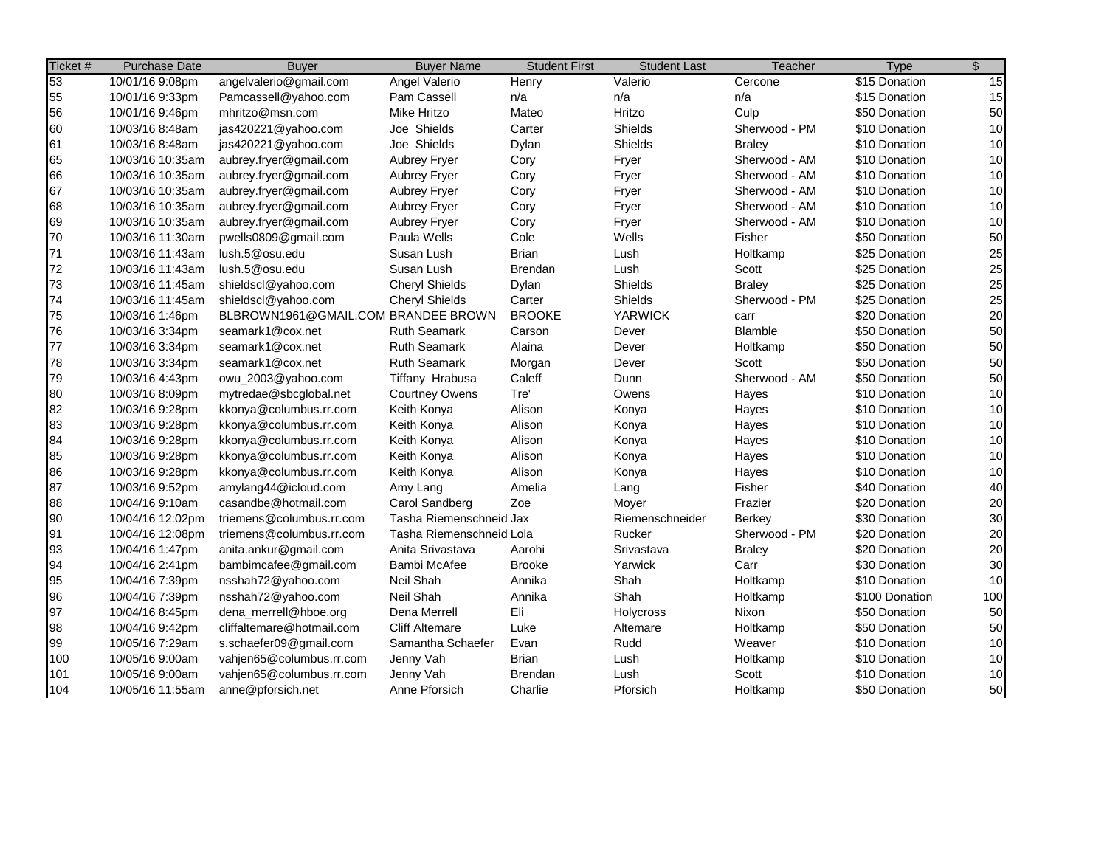| Ticket # | <b>Purchase Date</b> | <b>Buyer</b>                        | <b>Buyer Name</b>        | <b>Student First</b> | <b>Student Last</b> | Teacher        | <b>Type</b>    | $\mathfrak{S}$ |
|----------|----------------------|-------------------------------------|--------------------------|----------------------|---------------------|----------------|----------------|----------------|
| 53       | 10/01/16 9:08pm      | angelvalerio@gmail.com              | Angel Valerio            | Henry                | Valerio             | Cercone        | \$15 Donation  | 15             |
| 55       | 10/01/16 9:33pm      | Pamcassell@yahoo.com                | Pam Cassell              | n/a                  | n/a                 | n/a            | \$15 Donation  | 15             |
| 56       | 10/01/16 9:46pm      | mhritzo@msn.com                     | <b>Mike Hritzo</b>       | Mateo                | Hritzo              | Culp           | \$50 Donation  | 50             |
| 60       | 10/03/16 8:48am      | jas420221@yahoo.com                 | Joe Shields              | Carter               | Shields             | Sherwood - PM  | \$10 Donation  | 10             |
| 61       | 10/03/16 8:48am      | jas420221@yahoo.com                 | Joe Shields              | Dylan                | Shields             | <b>Braley</b>  | \$10 Donation  | 10             |
| 65       | 10/03/16 10:35am     | aubrey.fryer@gmail.com              | <b>Aubrey Fryer</b>      | Cory                 | Fryer               | Sherwood - AM  | \$10 Donation  | 10             |
| 66       | 10/03/16 10:35am     | aubrey.fryer@gmail.com              | <b>Aubrey Fryer</b>      | Cory                 | Fryer               | Sherwood - AM  | \$10 Donation  | 10             |
| 67       | 10/03/16 10:35am     | aubrey.fryer@gmail.com              | <b>Aubrey Fryer</b>      | Cory                 | Fryer               | Sherwood - AM  | \$10 Donation  | 10             |
| 68       | 10/03/16 10:35am     | aubrey.fryer@gmail.com              | Aubrey Fryer             | Cory                 | Fryer               | Sherwood - AM  | \$10 Donation  | 10             |
| 69       | 10/03/16 10:35am     | aubrey.fryer@gmail.com              | <b>Aubrey Fryer</b>      | Cory                 | Fryer               | Sherwood - AM  | \$10 Donation  | 10             |
| 70       | 10/03/16 11:30am     | pwells0809@gmail.com                | Paula Wells              | Cole                 | Wells               | Fisher         | \$50 Donation  | 50             |
| 71       | 10/03/16 11:43am     | lush.5@osu.edu                      | Susan Lush               | <b>Brian</b>         | Lush                | Holtkamp       | \$25 Donation  | 25             |
| 72       | 10/03/16 11:43am     | lush.5@osu.edu                      | Susan Lush               | <b>Brendan</b>       | Lush                | Scott          | \$25 Donation  | 25             |
| 73       | 10/03/16 11:45am     | shieldscl@yahoo.com                 | <b>Cheryl Shields</b>    | Dylan                | Shields             | <b>Braley</b>  | \$25 Donation  | 25             |
| 74       | 10/03/16 11:45am     | shieldscl@yahoo.com                 | <b>Cheryl Shields</b>    | Carter               | Shields             | Sherwood - PM  | \$25 Donation  | 25             |
| 75       | 10/03/16 1:46pm      | BLBROWN1961@GMAIL.COM BRANDEE BROWN |                          | <b>BROOKE</b>        | <b>YARWICK</b>      | carr           | \$20 Donation  | 20             |
| 76       | 10/03/16 3:34pm      | seamark1@cox.net                    | <b>Ruth Seamark</b>      | Carson               | Dever               | <b>Blamble</b> | \$50 Donation  | 50             |
| 77       | 10/03/16 3:34pm      | seamark1@cox.net                    | <b>Ruth Seamark</b>      | Alaina               | Dever               | Holtkamp       | \$50 Donation  | 50             |
| 78       | 10/03/16 3:34pm      | seamark1@cox.net                    | <b>Ruth Seamark</b>      | Morgan               | Dever               | Scott          | \$50 Donation  | 50             |
| 79       | 10/03/16 4:43pm      | owu_2003@yahoo.com                  | Tiffany Hrabusa          | Caleff               | Dunn                | Sherwood - AM  | \$50 Donation  | 50             |
| 80       | 10/03/16 8:09pm      | mytredae@sbcglobal.net              | <b>Courtney Owens</b>    | Tre'                 | Owens               | Hayes          | \$10 Donation  | 10             |
| 82       | 10/03/16 9:28pm      | kkonya@columbus.rr.com              | Keith Konya              | Alison               | Konya               | Hayes          | \$10 Donation  | 10             |
| 83       | 10/03/16 9:28pm      | kkonya@columbus.rr.com              | Keith Konya              | Alison               | Konya               | Hayes          | \$10 Donation  | 10             |
| 84       | 10/03/16 9:28pm      | kkonya@columbus.rr.com              | Keith Konya              | Alison               | Konya               | Hayes          | \$10 Donation  | 10             |
| 85       | 10/03/16 9:28pm      | kkonya@columbus.rr.com              | Keith Konya              | Alison               | Konya               | Hayes          | \$10 Donation  | 10             |
| 86       | 10/03/16 9:28pm      | kkonya@columbus.rr.com              | Keith Konya              | Alison               | Konya               | Hayes          | \$10 Donation  | 10             |
| 87       | 10/03/16 9:52pm      | amylang44@icloud.com                | Amy Lang                 | Amelia               | Lang                | Fisher         | \$40 Donation  | 40             |
| 88       | 10/04/16 9:10am      | casandbe@hotmail.com                | Carol Sandberg           | Zoe                  | Moyer               | Frazier        | \$20 Donation  | 20             |
| 90       | 10/04/16 12:02pm     | triemens@columbus.rr.com            | Tasha Riemenschneid Jax  |                      | Riemenschneider     | Berkev         | \$30 Donation  | 30             |
| 91       | 10/04/16 12:08pm     | triemens@columbus.rr.com            | Tasha Riemenschneid Lola |                      | Rucker              | Sherwood - PM  | \$20 Donation  | 20             |
| 93       | 10/04/16 1:47pm      | anita.ankur@gmail.com               | Anita Srivastava         | Aarohi               | Srivastava          | <b>Braley</b>  | \$20 Donation  | 20             |
| 94       | 10/04/16 2:41pm      | bambimcafee@gmail.com               | Bambi McAfee             | <b>Brooke</b>        | Yarwick             | Carr           | \$30 Donation  | 30             |
| 95       | 10/04/16 7:39pm      | nsshah72@yahoo.com                  | Neil Shah                | Annika               | Shah                | Holtkamp       | \$10 Donation  | 10             |
| 96       | 10/04/16 7:39pm      | nsshah72@yahoo.com                  | Neil Shah                | Annika               | Shah                | Holtkamp       | \$100 Donation | 100            |
| 97       | 10/04/16 8:45pm      | dena_merrell@hboe.org               | Dena Merrell             | Eli                  | Holycross           | Nixon          | \$50 Donation  | 50             |
| 98       | 10/04/16 9:42pm      | cliffaltemare@hotmail.com           | <b>Cliff Altemare</b>    | Luke                 | Altemare            | Holtkamp       | \$50 Donation  | 50             |
| 99       | 10/05/16 7:29am      | s.schaefer09@gmail.com              | Samantha Schaefer        | Evan                 | Rudd                | Weaver         | \$10 Donation  | 10             |
| 100      | 10/05/16 9:00am      | vahjen65@columbus.rr.com            | Jenny Vah                | <b>Brian</b>         | Lush                | Holtkamp       | \$10 Donation  | 10             |
| 101      | 10/05/16 9:00am      | vahjen65@columbus.rr.com            | Jenny Vah                | <b>Brendan</b>       | Lush                | Scott          | \$10 Donation  | 10             |
| 104      | 10/05/16 11:55am     | anne@pforsich.net                   | Anne Pforsich            | Charlie              | Pforsich            | Holtkamp       | \$50 Donation  | 50             |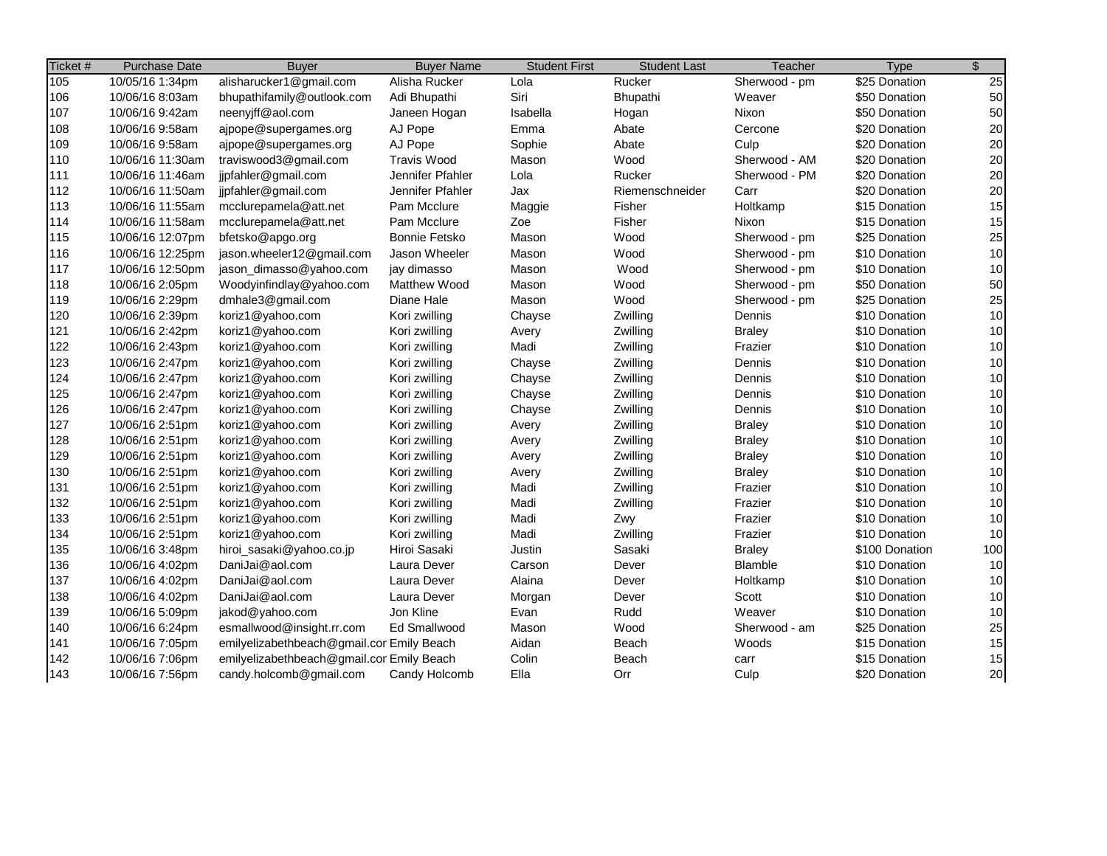| Ticket # | <b>Purchase Date</b> | <b>Buyer</b>                              | <b>Buyer Name</b>    | <b>Student First</b> | <b>Student Last</b> | Teacher       | <b>Type</b>    | $\overline{\mathcal{S}}$ |
|----------|----------------------|-------------------------------------------|----------------------|----------------------|---------------------|---------------|----------------|--------------------------|
| 105      | 10/05/16 1:34pm      | alisharucker1@gmail.com                   | Alisha Rucker        | Lola                 | Rucker              | Sherwood - pm | \$25 Donation  | $\overline{25}$          |
| 106      | 10/06/16 8:03am      | bhupathifamily@outlook.com                | Adi Bhupathi         | Siri                 | Bhupathi            | Weaver        | \$50 Donation  | 50                       |
| 107      | 10/06/16 9:42am      | neenyjff@aol.com                          | Janeen Hogan         | Isabella             | Hogan               | Nixon         | \$50 Donation  | 50                       |
| 108      | 10/06/16 9:58am      | ajpope@supergames.org                     | AJ Pope              | Emma                 | Abate               | Cercone       | \$20 Donation  | 20                       |
| 109      | 10/06/16 9:58am      | ajpope@supergames.org                     | AJ Pope              | Sophie               | Abate               | Culp          | \$20 Donation  | 20                       |
| 110      | 10/06/16 11:30am     | traviswood3@gmail.com                     | <b>Travis Wood</b>   | Mason                | Wood                | Sherwood - AM | \$20 Donation  | 20                       |
| 111      | 10/06/16 11:46am     | jipfahler@gmail.com                       | Jennifer Pfahler     | Lola                 | Rucker              | Sherwood - PM | \$20 Donation  | 20                       |
| 112      | 10/06/16 11:50am     | jjpfahler@gmail.com                       | Jennifer Pfahler     | Jax                  | Riemenschneider     | Carr          | \$20 Donation  | 20                       |
| 113      | 10/06/16 11:55am     | mcclurepamela@att.net                     | Pam Mcclure          | Maggie               | Fisher              | Holtkamp      | \$15 Donation  | 15                       |
| 114      | 10/06/16 11:58am     | mcclurepamela@att.net                     | Pam Mcclure          | Zoe                  | Fisher              | Nixon         | \$15 Donation  | 15                       |
| 115      | 10/06/16 12:07pm     | bfetsko@apgo.org                          | <b>Bonnie Fetsko</b> | Mason                | Wood                | Sherwood - pm | \$25 Donation  | 25                       |
| 116      | 10/06/16 12:25pm     | jason.wheeler12@gmail.com                 | Jason Wheeler        | Mason                | Wood                | Sherwood - pm | \$10 Donation  | 10                       |
| 117      | 10/06/16 12:50pm     | jason_dimasso@yahoo.com                   | jay dimasso          | Mason                | Wood                | Sherwood - pm | \$10 Donation  | 10                       |
| 118      | 10/06/16 2:05pm      | Woodyinfindlay@yahoo.com                  | <b>Matthew Wood</b>  | Mason                | Wood                | Sherwood - pm | \$50 Donation  | 50                       |
| 119      | 10/06/16 2:29pm      | dmhale3@gmail.com                         | Diane Hale           | Mason                | Wood                | Sherwood - pm | \$25 Donation  | 25                       |
| 120      | 10/06/16 2:39pm      | koriz1@yahoo.com                          | Kori zwilling        | Chayse               | Zwilling            | Dennis        | \$10 Donation  | 10                       |
| 121      | 10/06/16 2:42pm      | koriz1@yahoo.com                          | Kori zwilling        | Avery                | Zwilling            | <b>Braley</b> | \$10 Donation  | 10                       |
| 122      | 10/06/16 2:43pm      | koriz1@yahoo.com                          | Kori zwilling        | Madi                 | Zwilling            | Frazier       | \$10 Donation  | 10                       |
| 123      | 10/06/16 2:47pm      | koriz1@yahoo.com                          | Kori zwilling        | Chayse               | Zwilling            | Dennis        | \$10 Donation  | 10                       |
| 124      | 10/06/16 2:47pm      | koriz1@yahoo.com                          | Kori zwilling        | Chayse               | Zwilling            | Dennis        | \$10 Donation  | 10                       |
| 125      | 10/06/16 2:47pm      | koriz1@yahoo.com                          | Kori zwilling        | Chayse               | Zwilling            | Dennis        | \$10 Donation  | 10                       |
| 126      | 10/06/16 2:47pm      | koriz1@yahoo.com                          | Kori zwilling        | Chayse               | Zwilling            | Dennis        | \$10 Donation  | 10                       |
| 127      | 10/06/16 2:51pm      | koriz1@yahoo.com                          | Kori zwilling        | Avery                | Zwilling            | <b>Braley</b> | \$10 Donation  | 10                       |
| 128      | 10/06/16 2:51pm      | koriz1@yahoo.com                          | Kori zwilling        | Avery                | Zwilling            | <b>Braley</b> | \$10 Donation  | 10                       |
| 129      | 10/06/16 2:51pm      | koriz1@yahoo.com                          | Kori zwilling        | Avery                | Zwilling            | <b>Braley</b> | \$10 Donation  | 10                       |
| 130      | 10/06/16 2:51pm      | koriz1@yahoo.com                          | Kori zwilling        | Avery                | Zwilling            | <b>Braley</b> | \$10 Donation  | 10                       |
| 131      | 10/06/16 2:51pm      | koriz1@yahoo.com                          | Kori zwilling        | Madi                 | Zwilling            | Frazier       | \$10 Donation  | 10                       |
| 132      | 10/06/16 2:51pm      | koriz1@yahoo.com                          | Kori zwilling        | Madi                 | Zwilling            | Frazier       | \$10 Donation  | 10                       |
| 133      | 10/06/16 2:51pm      | koriz1@yahoo.com                          | Kori zwilling        | Madi                 | Zwy                 | Frazier       | \$10 Donation  | 10                       |
| 134      | 10/06/16 2:51pm      | koriz1@yahoo.com                          | Kori zwilling        | Madi                 | Zwilling            | Frazier       | \$10 Donation  | 10                       |
| 135      | 10/06/16 3:48pm      | hiroi_sasaki@yahoo.co.jp                  | Hiroi Sasaki         | Justin               | Sasaki              | <b>Braley</b> | \$100 Donation | 100                      |
| 136      | 10/06/16 4:02pm      | DaniJai@aol.com                           | Laura Dever          | Carson               | Dever               | Blamble       | \$10 Donation  | 10                       |
| 137      | 10/06/16 4:02pm      | DaniJai@aol.com                           | Laura Dever          | Alaina               | Dever               | Holtkamp      | \$10 Donation  | 10                       |
| 138      | 10/06/16 4:02pm      | DaniJai@aol.com                           | Laura Dever          | Morgan               | Dever               | Scott         | \$10 Donation  | 10                       |
| 139      | 10/06/16 5:09pm      | jakod@yahoo.com                           | Jon Kline            | Evan                 | Rudd                | Weaver        | \$10 Donation  | 10                       |
| 140      | 10/06/16 6:24pm      | esmallwood@insight.rr.com                 | Ed Smallwood         | Mason                | Wood                | Sherwood - am | \$25 Donation  | 25                       |
| 141      | 10/06/16 7:05pm      | emilyelizabethbeach@gmail.cor Emily Beach |                      | Aidan                | Beach               | Woods         | \$15 Donation  | 15                       |
| 142      | 10/06/16 7:06pm      | emilyelizabethbeach@gmail.cor Emily Beach |                      | Colin                | Beach               | carr          | \$15 Donation  | 15                       |
| 143      | 10/06/16 7:56pm      | candy.holcomb@gmail.com                   | Candy Holcomb        | Ella                 | Orr                 | Culp          | \$20 Donation  | 20                       |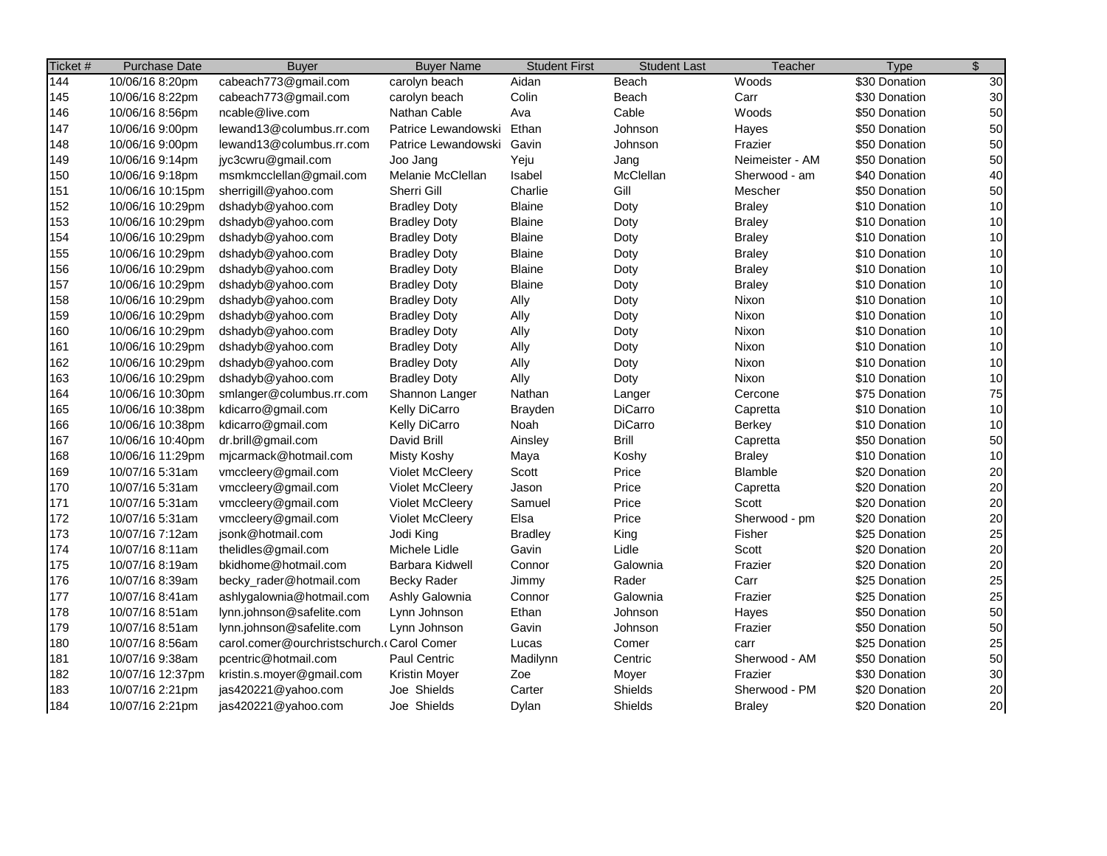| 10/06/16 8:20pm<br>cabeach773@gmail.com<br>Aidan<br>Beach<br>Woods<br>carolyn beach<br>30<br>cabeach773@gmail.com<br>Colin<br>Carr<br>\$30 Donation<br>10/06/16 8:22pm<br>carolyn beach<br>Beach<br>50<br>Cable<br>ncable@live.com<br>Nathan Cable<br>Woods<br>\$50 Donation<br>10/06/16 8:56pm<br>Ava<br>50<br>lewand13@columbus.rr.com<br>10/06/16 9:00pm<br>Patrice Lewandowski<br>Ethan<br>Johnson<br>\$50 Donation<br>Hayes<br>50<br>10/06/16 9:00pm<br>lewand13@columbus.rr.com<br>Gavin<br>\$50 Donation<br>Patrice Lewandowski<br>Johnson<br>Frazier<br>50<br>jyc3cwru@gmail.com<br>\$50 Donation<br>10/06/16 9:14pm<br>Joo Jang<br>Yeju<br>Neimeister - AM<br>Jang<br>40<br>msmkmcclellan@gmail.com<br>Melanie McClellan<br>McClellan<br>Sherwood - am<br>\$40 Donation<br>10/06/16 9:18pm<br>Isabel<br>50<br>Gill<br>Sherri Gill<br>Charlie<br>Mescher<br>\$50 Donation<br>10/06/16 10:15pm<br>sherrigill@yahoo.com<br>10<br>10/06/16 10:29pm<br>dshadyb@yahoo.com<br><b>Blaine</b><br>\$10 Donation<br><b>Bradley Doty</b><br>Doty<br><b>Braley</b><br>10<br><b>Blaine</b><br>\$10 Donation<br>10/06/16 10:29pm<br>dshadyb@yahoo.com<br><b>Bradley Doty</b><br>Doty<br><b>Braley</b><br>10<br>10/06/16 10:29pm<br>dshadyb@yahoo.com<br><b>Blaine</b><br>\$10 Donation<br><b>Bradley Doty</b><br>Doty<br><b>Braley</b><br>10<br>10/06/16 10:29pm<br>dshadyb@yahoo.com<br><b>Blaine</b><br>\$10 Donation<br><b>Bradley Doty</b><br>Doty<br><b>Braley</b><br>10<br>10/06/16 10:29pm<br>dshadyb@yahoo.com<br><b>Blaine</b><br>\$10 Donation<br><b>Bradley Doty</b><br>Doty<br><b>Braley</b><br>10<br>10/06/16 10:29pm<br><b>Blaine</b><br>\$10 Donation<br>dshadyb@yahoo.com<br><b>Bradley Doty</b><br>Doty<br><b>Braley</b><br>10<br>10/06/16 10:29pm<br>dshadyb@yahoo.com<br>Ally<br>\$10 Donation<br><b>Bradley Doty</b><br>Doty<br>Nixon<br>10<br>dshadyb@yahoo.com<br>\$10 Donation<br>10/06/16 10:29pm<br><b>Bradley Doty</b><br>Ally<br>Nixon<br>Doty<br>10<br>10/06/16 10:29pm<br>dshadyb@yahoo.com<br>Ally<br>Nixon<br>\$10 Donation<br><b>Bradley Doty</b><br>Doty<br>10<br>10/06/16 10:29pm<br>\$10 Donation<br>dshadyb@yahoo.com<br><b>Bradley Doty</b><br>Ally<br>Doty<br>Nixon<br>10<br>10/06/16 10:29pm<br>dshadyb@yahoo.com<br><b>Bradley Doty</b><br>Ally<br>Doty<br>Nixon<br>\$10 Donation<br>10<br>dshadyb@yahoo.com<br>10/06/16 10:29pm<br><b>Bradley Doty</b><br>Ally<br>Doty<br>Nixon<br>\$10 Donation<br>75<br>10/06/16 10:30pm<br>smlanger@columbus.rr.com<br>Shannon Langer<br>Nathan<br>\$75 Donation<br>Cercone<br>Langer<br>10<br>10/06/16 10:38pm<br>kdicarro@gmail.com<br>Kelly DiCarro<br>DiCarro<br>\$10 Donation<br>Brayden<br>Capretta<br>10<br>Kelly DiCarro<br><b>DiCarro</b><br>10/06/16 10:38pm<br>kdicarro@gmail.com<br>Noah<br>\$10 Donation<br>Berkey<br><b>Brill</b><br>50<br>dr.brill@gmail.com<br>David Brill<br>\$50 Donation<br>10/06/16 10:40pm<br>Ainsley<br>Capretta<br>10<br>10/06/16 11:29pm<br>mjcarmack@hotmail.com<br>Misty Koshy<br>Koshy<br>\$10 Donation<br>Maya<br><b>Braley</b><br>20<br>10/07/16 5:31am<br>Scott<br>Price<br>Blamble<br>\$20 Donation<br>vmccleery@gmail.com<br><b>Violet McCleery</b><br>20<br>Price<br>\$20 Donation<br>10/07/16 5:31am<br>vmccleery@gmail.com<br><b>Violet McCleery</b><br>Jason<br>Capretta<br>20<br>10/07/16 5:31am<br>vmccleery@gmail.com<br>Samuel<br>Price<br>Scott<br>\$20 Donation<br><b>Violet McCleery</b><br>20<br>10/07/16 5:31am<br>vmccleery@gmail.com<br>Violet McCleery<br>Elsa<br>Price<br>Sherwood - pm<br>\$20 Donation<br>25<br>10/07/16 7:12am<br>jsonk@hotmail.com<br>Jodi King<br>King<br>Fisher<br>\$25 Donation<br><b>Bradley</b><br>20<br>thelidles@gmail.com<br>Michele Lidle<br>Lidle<br>\$20 Donation<br>10/07/16 8:11am<br>Gavin<br>Scott<br>20<br>10/07/16 8:19am<br>bkidhome@hotmail.com<br>Barbara Kidwell<br>Connor<br>Galownia<br>\$20 Donation<br>Frazier<br>25<br>10/07/16 8:39am<br>becky_rader@hotmail.com<br><b>Becky Rader</b><br>Rader<br>Carr<br>\$25 Donation<br>Jimmy<br>25<br>10/07/16 8:41am<br>ashlygalownia@hotmail.com<br>Ashly Galownia<br>Galownia<br>\$25 Donation<br>Connor<br>Frazier<br>50<br>Ethan<br>\$50 Donation<br>10/07/16 8:51am<br>lynn.johnson@safelite.com<br>Lynn Johnson<br>Johnson<br>Hayes<br>50<br>10/07/16 8:51am<br>lynn.johnson@safelite.com<br>Lynn Johnson<br>Gavin<br>\$50 Donation<br>Johnson<br>Frazier<br>25<br>carol.comer@ourchristschurch.cCarol Comer<br>10/07/16 8:56am<br>Lucas<br>Comer<br>\$25 Donation<br>carr<br>50<br>10/07/16 9:38am<br>pcentric@hotmail.com<br>Paul Centric<br>Madilynn<br>\$50 Donation<br>Centric<br>Sherwood - AM<br>30<br>\$30 Donation<br>10/07/16 12:37pm<br>kristin.s.moyer@gmail.com<br>Kristin Moyer<br>Zoe<br>Frazier<br>Moyer<br>20<br>jas420221@yahoo.com<br>Joe Shields<br>Carter<br>Shields<br>Sherwood - PM<br>\$20 Donation<br>10/07/16 2:21pm<br>20<br>10/07/16 2:21pm<br>Joe Shields<br>Shields<br>\$20 Donation | Ticket# | <b>Purchase Date</b> | <b>Buyer</b>        | <b>Buyer Name</b> | <b>Student First</b> | <b>Student Last</b> | Teacher       | <b>Type</b>   | $\frac{1}{2}$ |
|------------------------------------------------------------------------------------------------------------------------------------------------------------------------------------------------------------------------------------------------------------------------------------------------------------------------------------------------------------------------------------------------------------------------------------------------------------------------------------------------------------------------------------------------------------------------------------------------------------------------------------------------------------------------------------------------------------------------------------------------------------------------------------------------------------------------------------------------------------------------------------------------------------------------------------------------------------------------------------------------------------------------------------------------------------------------------------------------------------------------------------------------------------------------------------------------------------------------------------------------------------------------------------------------------------------------------------------------------------------------------------------------------------------------------------------------------------------------------------------------------------------------------------------------------------------------------------------------------------------------------------------------------------------------------------------------------------------------------------------------------------------------------------------------------------------------------------------------------------------------------------------------------------------------------------------------------------------------------------------------------------------------------------------------------------------------------------------------------------------------------------------------------------------------------------------------------------------------------------------------------------------------------------------------------------------------------------------------------------------------------------------------------------------------------------------------------------------------------------------------------------------------------------------------------------------------------------------------------------------------------------------------------------------------------------------------------------------------------------------------------------------------------------------------------------------------------------------------------------------------------------------------------------------------------------------------------------------------------------------------------------------------------------------------------------------------------------------------------------------------------------------------------------------------------------------------------------------------------------------------------------------------------------------------------------------------------------------------------------------------------------------------------------------------------------------------------------------------------------------------------------------------------------------------------------------------------------------------------------------------------------------------------------------------------------------------------------------------------------------------------------------------------------------------------------------------------------------------------------------------------------------------------------------------------------------------------------------------------------------------------------------------------------------------------------------------------------------------------------------------------------------------------------------------------------------------------------------------------------------------------------------------------------------------------------------------------------------------------------------------------------------------------------------------------------------------------------------------------------------------------------------------------------------------------------------------------------------------------------------------------------------------------------------------------------------------------------------------------------------------------------------------------------------------------------------------------------------------------------------------------------------------------------------------------------------------------|---------|----------------------|---------------------|-------------------|----------------------|---------------------|---------------|---------------|---------------|
|                                                                                                                                                                                                                                                                                                                                                                                                                                                                                                                                                                                                                                                                                                                                                                                                                                                                                                                                                                                                                                                                                                                                                                                                                                                                                                                                                                                                                                                                                                                                                                                                                                                                                                                                                                                                                                                                                                                                                                                                                                                                                                                                                                                                                                                                                                                                                                                                                                                                                                                                                                                                                                                                                                                                                                                                                                                                                                                                                                                                                                                                                                                                                                                                                                                                                                                                                                                                                                                                                                                                                                                                                                                                                                                                                                                                                                                                                                                                                                                                                                                                                                                                                                                                                                                                                                                                                                                                                                                                                                                                                                                                                                                                                                                                                                                                                                                                                                                                                      | 144     |                      |                     |                   |                      |                     |               | \$30 Donation | 30            |
|                                                                                                                                                                                                                                                                                                                                                                                                                                                                                                                                                                                                                                                                                                                                                                                                                                                                                                                                                                                                                                                                                                                                                                                                                                                                                                                                                                                                                                                                                                                                                                                                                                                                                                                                                                                                                                                                                                                                                                                                                                                                                                                                                                                                                                                                                                                                                                                                                                                                                                                                                                                                                                                                                                                                                                                                                                                                                                                                                                                                                                                                                                                                                                                                                                                                                                                                                                                                                                                                                                                                                                                                                                                                                                                                                                                                                                                                                                                                                                                                                                                                                                                                                                                                                                                                                                                                                                                                                                                                                                                                                                                                                                                                                                                                                                                                                                                                                                                                                      | 145     |                      |                     |                   |                      |                     |               |               |               |
|                                                                                                                                                                                                                                                                                                                                                                                                                                                                                                                                                                                                                                                                                                                                                                                                                                                                                                                                                                                                                                                                                                                                                                                                                                                                                                                                                                                                                                                                                                                                                                                                                                                                                                                                                                                                                                                                                                                                                                                                                                                                                                                                                                                                                                                                                                                                                                                                                                                                                                                                                                                                                                                                                                                                                                                                                                                                                                                                                                                                                                                                                                                                                                                                                                                                                                                                                                                                                                                                                                                                                                                                                                                                                                                                                                                                                                                                                                                                                                                                                                                                                                                                                                                                                                                                                                                                                                                                                                                                                                                                                                                                                                                                                                                                                                                                                                                                                                                                                      | 146     |                      |                     |                   |                      |                     |               |               |               |
|                                                                                                                                                                                                                                                                                                                                                                                                                                                                                                                                                                                                                                                                                                                                                                                                                                                                                                                                                                                                                                                                                                                                                                                                                                                                                                                                                                                                                                                                                                                                                                                                                                                                                                                                                                                                                                                                                                                                                                                                                                                                                                                                                                                                                                                                                                                                                                                                                                                                                                                                                                                                                                                                                                                                                                                                                                                                                                                                                                                                                                                                                                                                                                                                                                                                                                                                                                                                                                                                                                                                                                                                                                                                                                                                                                                                                                                                                                                                                                                                                                                                                                                                                                                                                                                                                                                                                                                                                                                                                                                                                                                                                                                                                                                                                                                                                                                                                                                                                      | 147     |                      |                     |                   |                      |                     |               |               |               |
|                                                                                                                                                                                                                                                                                                                                                                                                                                                                                                                                                                                                                                                                                                                                                                                                                                                                                                                                                                                                                                                                                                                                                                                                                                                                                                                                                                                                                                                                                                                                                                                                                                                                                                                                                                                                                                                                                                                                                                                                                                                                                                                                                                                                                                                                                                                                                                                                                                                                                                                                                                                                                                                                                                                                                                                                                                                                                                                                                                                                                                                                                                                                                                                                                                                                                                                                                                                                                                                                                                                                                                                                                                                                                                                                                                                                                                                                                                                                                                                                                                                                                                                                                                                                                                                                                                                                                                                                                                                                                                                                                                                                                                                                                                                                                                                                                                                                                                                                                      | 148     |                      |                     |                   |                      |                     |               |               |               |
|                                                                                                                                                                                                                                                                                                                                                                                                                                                                                                                                                                                                                                                                                                                                                                                                                                                                                                                                                                                                                                                                                                                                                                                                                                                                                                                                                                                                                                                                                                                                                                                                                                                                                                                                                                                                                                                                                                                                                                                                                                                                                                                                                                                                                                                                                                                                                                                                                                                                                                                                                                                                                                                                                                                                                                                                                                                                                                                                                                                                                                                                                                                                                                                                                                                                                                                                                                                                                                                                                                                                                                                                                                                                                                                                                                                                                                                                                                                                                                                                                                                                                                                                                                                                                                                                                                                                                                                                                                                                                                                                                                                                                                                                                                                                                                                                                                                                                                                                                      | 149     |                      |                     |                   |                      |                     |               |               |               |
|                                                                                                                                                                                                                                                                                                                                                                                                                                                                                                                                                                                                                                                                                                                                                                                                                                                                                                                                                                                                                                                                                                                                                                                                                                                                                                                                                                                                                                                                                                                                                                                                                                                                                                                                                                                                                                                                                                                                                                                                                                                                                                                                                                                                                                                                                                                                                                                                                                                                                                                                                                                                                                                                                                                                                                                                                                                                                                                                                                                                                                                                                                                                                                                                                                                                                                                                                                                                                                                                                                                                                                                                                                                                                                                                                                                                                                                                                                                                                                                                                                                                                                                                                                                                                                                                                                                                                                                                                                                                                                                                                                                                                                                                                                                                                                                                                                                                                                                                                      | 150     |                      |                     |                   |                      |                     |               |               |               |
|                                                                                                                                                                                                                                                                                                                                                                                                                                                                                                                                                                                                                                                                                                                                                                                                                                                                                                                                                                                                                                                                                                                                                                                                                                                                                                                                                                                                                                                                                                                                                                                                                                                                                                                                                                                                                                                                                                                                                                                                                                                                                                                                                                                                                                                                                                                                                                                                                                                                                                                                                                                                                                                                                                                                                                                                                                                                                                                                                                                                                                                                                                                                                                                                                                                                                                                                                                                                                                                                                                                                                                                                                                                                                                                                                                                                                                                                                                                                                                                                                                                                                                                                                                                                                                                                                                                                                                                                                                                                                                                                                                                                                                                                                                                                                                                                                                                                                                                                                      | 151     |                      |                     |                   |                      |                     |               |               |               |
|                                                                                                                                                                                                                                                                                                                                                                                                                                                                                                                                                                                                                                                                                                                                                                                                                                                                                                                                                                                                                                                                                                                                                                                                                                                                                                                                                                                                                                                                                                                                                                                                                                                                                                                                                                                                                                                                                                                                                                                                                                                                                                                                                                                                                                                                                                                                                                                                                                                                                                                                                                                                                                                                                                                                                                                                                                                                                                                                                                                                                                                                                                                                                                                                                                                                                                                                                                                                                                                                                                                                                                                                                                                                                                                                                                                                                                                                                                                                                                                                                                                                                                                                                                                                                                                                                                                                                                                                                                                                                                                                                                                                                                                                                                                                                                                                                                                                                                                                                      | 152     |                      |                     |                   |                      |                     |               |               |               |
|                                                                                                                                                                                                                                                                                                                                                                                                                                                                                                                                                                                                                                                                                                                                                                                                                                                                                                                                                                                                                                                                                                                                                                                                                                                                                                                                                                                                                                                                                                                                                                                                                                                                                                                                                                                                                                                                                                                                                                                                                                                                                                                                                                                                                                                                                                                                                                                                                                                                                                                                                                                                                                                                                                                                                                                                                                                                                                                                                                                                                                                                                                                                                                                                                                                                                                                                                                                                                                                                                                                                                                                                                                                                                                                                                                                                                                                                                                                                                                                                                                                                                                                                                                                                                                                                                                                                                                                                                                                                                                                                                                                                                                                                                                                                                                                                                                                                                                                                                      | 153     |                      |                     |                   |                      |                     |               |               |               |
|                                                                                                                                                                                                                                                                                                                                                                                                                                                                                                                                                                                                                                                                                                                                                                                                                                                                                                                                                                                                                                                                                                                                                                                                                                                                                                                                                                                                                                                                                                                                                                                                                                                                                                                                                                                                                                                                                                                                                                                                                                                                                                                                                                                                                                                                                                                                                                                                                                                                                                                                                                                                                                                                                                                                                                                                                                                                                                                                                                                                                                                                                                                                                                                                                                                                                                                                                                                                                                                                                                                                                                                                                                                                                                                                                                                                                                                                                                                                                                                                                                                                                                                                                                                                                                                                                                                                                                                                                                                                                                                                                                                                                                                                                                                                                                                                                                                                                                                                                      | 154     |                      |                     |                   |                      |                     |               |               |               |
|                                                                                                                                                                                                                                                                                                                                                                                                                                                                                                                                                                                                                                                                                                                                                                                                                                                                                                                                                                                                                                                                                                                                                                                                                                                                                                                                                                                                                                                                                                                                                                                                                                                                                                                                                                                                                                                                                                                                                                                                                                                                                                                                                                                                                                                                                                                                                                                                                                                                                                                                                                                                                                                                                                                                                                                                                                                                                                                                                                                                                                                                                                                                                                                                                                                                                                                                                                                                                                                                                                                                                                                                                                                                                                                                                                                                                                                                                                                                                                                                                                                                                                                                                                                                                                                                                                                                                                                                                                                                                                                                                                                                                                                                                                                                                                                                                                                                                                                                                      | 155     |                      |                     |                   |                      |                     |               |               |               |
|                                                                                                                                                                                                                                                                                                                                                                                                                                                                                                                                                                                                                                                                                                                                                                                                                                                                                                                                                                                                                                                                                                                                                                                                                                                                                                                                                                                                                                                                                                                                                                                                                                                                                                                                                                                                                                                                                                                                                                                                                                                                                                                                                                                                                                                                                                                                                                                                                                                                                                                                                                                                                                                                                                                                                                                                                                                                                                                                                                                                                                                                                                                                                                                                                                                                                                                                                                                                                                                                                                                                                                                                                                                                                                                                                                                                                                                                                                                                                                                                                                                                                                                                                                                                                                                                                                                                                                                                                                                                                                                                                                                                                                                                                                                                                                                                                                                                                                                                                      | 156     |                      |                     |                   |                      |                     |               |               |               |
|                                                                                                                                                                                                                                                                                                                                                                                                                                                                                                                                                                                                                                                                                                                                                                                                                                                                                                                                                                                                                                                                                                                                                                                                                                                                                                                                                                                                                                                                                                                                                                                                                                                                                                                                                                                                                                                                                                                                                                                                                                                                                                                                                                                                                                                                                                                                                                                                                                                                                                                                                                                                                                                                                                                                                                                                                                                                                                                                                                                                                                                                                                                                                                                                                                                                                                                                                                                                                                                                                                                                                                                                                                                                                                                                                                                                                                                                                                                                                                                                                                                                                                                                                                                                                                                                                                                                                                                                                                                                                                                                                                                                                                                                                                                                                                                                                                                                                                                                                      | 157     |                      |                     |                   |                      |                     |               |               |               |
|                                                                                                                                                                                                                                                                                                                                                                                                                                                                                                                                                                                                                                                                                                                                                                                                                                                                                                                                                                                                                                                                                                                                                                                                                                                                                                                                                                                                                                                                                                                                                                                                                                                                                                                                                                                                                                                                                                                                                                                                                                                                                                                                                                                                                                                                                                                                                                                                                                                                                                                                                                                                                                                                                                                                                                                                                                                                                                                                                                                                                                                                                                                                                                                                                                                                                                                                                                                                                                                                                                                                                                                                                                                                                                                                                                                                                                                                                                                                                                                                                                                                                                                                                                                                                                                                                                                                                                                                                                                                                                                                                                                                                                                                                                                                                                                                                                                                                                                                                      | 158     |                      |                     |                   |                      |                     |               |               |               |
|                                                                                                                                                                                                                                                                                                                                                                                                                                                                                                                                                                                                                                                                                                                                                                                                                                                                                                                                                                                                                                                                                                                                                                                                                                                                                                                                                                                                                                                                                                                                                                                                                                                                                                                                                                                                                                                                                                                                                                                                                                                                                                                                                                                                                                                                                                                                                                                                                                                                                                                                                                                                                                                                                                                                                                                                                                                                                                                                                                                                                                                                                                                                                                                                                                                                                                                                                                                                                                                                                                                                                                                                                                                                                                                                                                                                                                                                                                                                                                                                                                                                                                                                                                                                                                                                                                                                                                                                                                                                                                                                                                                                                                                                                                                                                                                                                                                                                                                                                      | 159     |                      |                     |                   |                      |                     |               |               |               |
|                                                                                                                                                                                                                                                                                                                                                                                                                                                                                                                                                                                                                                                                                                                                                                                                                                                                                                                                                                                                                                                                                                                                                                                                                                                                                                                                                                                                                                                                                                                                                                                                                                                                                                                                                                                                                                                                                                                                                                                                                                                                                                                                                                                                                                                                                                                                                                                                                                                                                                                                                                                                                                                                                                                                                                                                                                                                                                                                                                                                                                                                                                                                                                                                                                                                                                                                                                                                                                                                                                                                                                                                                                                                                                                                                                                                                                                                                                                                                                                                                                                                                                                                                                                                                                                                                                                                                                                                                                                                                                                                                                                                                                                                                                                                                                                                                                                                                                                                                      | 160     |                      |                     |                   |                      |                     |               |               |               |
|                                                                                                                                                                                                                                                                                                                                                                                                                                                                                                                                                                                                                                                                                                                                                                                                                                                                                                                                                                                                                                                                                                                                                                                                                                                                                                                                                                                                                                                                                                                                                                                                                                                                                                                                                                                                                                                                                                                                                                                                                                                                                                                                                                                                                                                                                                                                                                                                                                                                                                                                                                                                                                                                                                                                                                                                                                                                                                                                                                                                                                                                                                                                                                                                                                                                                                                                                                                                                                                                                                                                                                                                                                                                                                                                                                                                                                                                                                                                                                                                                                                                                                                                                                                                                                                                                                                                                                                                                                                                                                                                                                                                                                                                                                                                                                                                                                                                                                                                                      | 161     |                      |                     |                   |                      |                     |               |               |               |
|                                                                                                                                                                                                                                                                                                                                                                                                                                                                                                                                                                                                                                                                                                                                                                                                                                                                                                                                                                                                                                                                                                                                                                                                                                                                                                                                                                                                                                                                                                                                                                                                                                                                                                                                                                                                                                                                                                                                                                                                                                                                                                                                                                                                                                                                                                                                                                                                                                                                                                                                                                                                                                                                                                                                                                                                                                                                                                                                                                                                                                                                                                                                                                                                                                                                                                                                                                                                                                                                                                                                                                                                                                                                                                                                                                                                                                                                                                                                                                                                                                                                                                                                                                                                                                                                                                                                                                                                                                                                                                                                                                                                                                                                                                                                                                                                                                                                                                                                                      | 162     |                      |                     |                   |                      |                     |               |               |               |
|                                                                                                                                                                                                                                                                                                                                                                                                                                                                                                                                                                                                                                                                                                                                                                                                                                                                                                                                                                                                                                                                                                                                                                                                                                                                                                                                                                                                                                                                                                                                                                                                                                                                                                                                                                                                                                                                                                                                                                                                                                                                                                                                                                                                                                                                                                                                                                                                                                                                                                                                                                                                                                                                                                                                                                                                                                                                                                                                                                                                                                                                                                                                                                                                                                                                                                                                                                                                                                                                                                                                                                                                                                                                                                                                                                                                                                                                                                                                                                                                                                                                                                                                                                                                                                                                                                                                                                                                                                                                                                                                                                                                                                                                                                                                                                                                                                                                                                                                                      | 163     |                      |                     |                   |                      |                     |               |               |               |
|                                                                                                                                                                                                                                                                                                                                                                                                                                                                                                                                                                                                                                                                                                                                                                                                                                                                                                                                                                                                                                                                                                                                                                                                                                                                                                                                                                                                                                                                                                                                                                                                                                                                                                                                                                                                                                                                                                                                                                                                                                                                                                                                                                                                                                                                                                                                                                                                                                                                                                                                                                                                                                                                                                                                                                                                                                                                                                                                                                                                                                                                                                                                                                                                                                                                                                                                                                                                                                                                                                                                                                                                                                                                                                                                                                                                                                                                                                                                                                                                                                                                                                                                                                                                                                                                                                                                                                                                                                                                                                                                                                                                                                                                                                                                                                                                                                                                                                                                                      | 164     |                      |                     |                   |                      |                     |               |               |               |
|                                                                                                                                                                                                                                                                                                                                                                                                                                                                                                                                                                                                                                                                                                                                                                                                                                                                                                                                                                                                                                                                                                                                                                                                                                                                                                                                                                                                                                                                                                                                                                                                                                                                                                                                                                                                                                                                                                                                                                                                                                                                                                                                                                                                                                                                                                                                                                                                                                                                                                                                                                                                                                                                                                                                                                                                                                                                                                                                                                                                                                                                                                                                                                                                                                                                                                                                                                                                                                                                                                                                                                                                                                                                                                                                                                                                                                                                                                                                                                                                                                                                                                                                                                                                                                                                                                                                                                                                                                                                                                                                                                                                                                                                                                                                                                                                                                                                                                                                                      | 165     |                      |                     |                   |                      |                     |               |               |               |
|                                                                                                                                                                                                                                                                                                                                                                                                                                                                                                                                                                                                                                                                                                                                                                                                                                                                                                                                                                                                                                                                                                                                                                                                                                                                                                                                                                                                                                                                                                                                                                                                                                                                                                                                                                                                                                                                                                                                                                                                                                                                                                                                                                                                                                                                                                                                                                                                                                                                                                                                                                                                                                                                                                                                                                                                                                                                                                                                                                                                                                                                                                                                                                                                                                                                                                                                                                                                                                                                                                                                                                                                                                                                                                                                                                                                                                                                                                                                                                                                                                                                                                                                                                                                                                                                                                                                                                                                                                                                                                                                                                                                                                                                                                                                                                                                                                                                                                                                                      | 166     |                      |                     |                   |                      |                     |               |               |               |
|                                                                                                                                                                                                                                                                                                                                                                                                                                                                                                                                                                                                                                                                                                                                                                                                                                                                                                                                                                                                                                                                                                                                                                                                                                                                                                                                                                                                                                                                                                                                                                                                                                                                                                                                                                                                                                                                                                                                                                                                                                                                                                                                                                                                                                                                                                                                                                                                                                                                                                                                                                                                                                                                                                                                                                                                                                                                                                                                                                                                                                                                                                                                                                                                                                                                                                                                                                                                                                                                                                                                                                                                                                                                                                                                                                                                                                                                                                                                                                                                                                                                                                                                                                                                                                                                                                                                                                                                                                                                                                                                                                                                                                                                                                                                                                                                                                                                                                                                                      | 167     |                      |                     |                   |                      |                     |               |               |               |
|                                                                                                                                                                                                                                                                                                                                                                                                                                                                                                                                                                                                                                                                                                                                                                                                                                                                                                                                                                                                                                                                                                                                                                                                                                                                                                                                                                                                                                                                                                                                                                                                                                                                                                                                                                                                                                                                                                                                                                                                                                                                                                                                                                                                                                                                                                                                                                                                                                                                                                                                                                                                                                                                                                                                                                                                                                                                                                                                                                                                                                                                                                                                                                                                                                                                                                                                                                                                                                                                                                                                                                                                                                                                                                                                                                                                                                                                                                                                                                                                                                                                                                                                                                                                                                                                                                                                                                                                                                                                                                                                                                                                                                                                                                                                                                                                                                                                                                                                                      | 168     |                      |                     |                   |                      |                     |               |               |               |
|                                                                                                                                                                                                                                                                                                                                                                                                                                                                                                                                                                                                                                                                                                                                                                                                                                                                                                                                                                                                                                                                                                                                                                                                                                                                                                                                                                                                                                                                                                                                                                                                                                                                                                                                                                                                                                                                                                                                                                                                                                                                                                                                                                                                                                                                                                                                                                                                                                                                                                                                                                                                                                                                                                                                                                                                                                                                                                                                                                                                                                                                                                                                                                                                                                                                                                                                                                                                                                                                                                                                                                                                                                                                                                                                                                                                                                                                                                                                                                                                                                                                                                                                                                                                                                                                                                                                                                                                                                                                                                                                                                                                                                                                                                                                                                                                                                                                                                                                                      | 169     |                      |                     |                   |                      |                     |               |               |               |
|                                                                                                                                                                                                                                                                                                                                                                                                                                                                                                                                                                                                                                                                                                                                                                                                                                                                                                                                                                                                                                                                                                                                                                                                                                                                                                                                                                                                                                                                                                                                                                                                                                                                                                                                                                                                                                                                                                                                                                                                                                                                                                                                                                                                                                                                                                                                                                                                                                                                                                                                                                                                                                                                                                                                                                                                                                                                                                                                                                                                                                                                                                                                                                                                                                                                                                                                                                                                                                                                                                                                                                                                                                                                                                                                                                                                                                                                                                                                                                                                                                                                                                                                                                                                                                                                                                                                                                                                                                                                                                                                                                                                                                                                                                                                                                                                                                                                                                                                                      | 170     |                      |                     |                   |                      |                     |               |               |               |
|                                                                                                                                                                                                                                                                                                                                                                                                                                                                                                                                                                                                                                                                                                                                                                                                                                                                                                                                                                                                                                                                                                                                                                                                                                                                                                                                                                                                                                                                                                                                                                                                                                                                                                                                                                                                                                                                                                                                                                                                                                                                                                                                                                                                                                                                                                                                                                                                                                                                                                                                                                                                                                                                                                                                                                                                                                                                                                                                                                                                                                                                                                                                                                                                                                                                                                                                                                                                                                                                                                                                                                                                                                                                                                                                                                                                                                                                                                                                                                                                                                                                                                                                                                                                                                                                                                                                                                                                                                                                                                                                                                                                                                                                                                                                                                                                                                                                                                                                                      | 171     |                      |                     |                   |                      |                     |               |               |               |
|                                                                                                                                                                                                                                                                                                                                                                                                                                                                                                                                                                                                                                                                                                                                                                                                                                                                                                                                                                                                                                                                                                                                                                                                                                                                                                                                                                                                                                                                                                                                                                                                                                                                                                                                                                                                                                                                                                                                                                                                                                                                                                                                                                                                                                                                                                                                                                                                                                                                                                                                                                                                                                                                                                                                                                                                                                                                                                                                                                                                                                                                                                                                                                                                                                                                                                                                                                                                                                                                                                                                                                                                                                                                                                                                                                                                                                                                                                                                                                                                                                                                                                                                                                                                                                                                                                                                                                                                                                                                                                                                                                                                                                                                                                                                                                                                                                                                                                                                                      | 172     |                      |                     |                   |                      |                     |               |               |               |
|                                                                                                                                                                                                                                                                                                                                                                                                                                                                                                                                                                                                                                                                                                                                                                                                                                                                                                                                                                                                                                                                                                                                                                                                                                                                                                                                                                                                                                                                                                                                                                                                                                                                                                                                                                                                                                                                                                                                                                                                                                                                                                                                                                                                                                                                                                                                                                                                                                                                                                                                                                                                                                                                                                                                                                                                                                                                                                                                                                                                                                                                                                                                                                                                                                                                                                                                                                                                                                                                                                                                                                                                                                                                                                                                                                                                                                                                                                                                                                                                                                                                                                                                                                                                                                                                                                                                                                                                                                                                                                                                                                                                                                                                                                                                                                                                                                                                                                                                                      | 173     |                      |                     |                   |                      |                     |               |               |               |
|                                                                                                                                                                                                                                                                                                                                                                                                                                                                                                                                                                                                                                                                                                                                                                                                                                                                                                                                                                                                                                                                                                                                                                                                                                                                                                                                                                                                                                                                                                                                                                                                                                                                                                                                                                                                                                                                                                                                                                                                                                                                                                                                                                                                                                                                                                                                                                                                                                                                                                                                                                                                                                                                                                                                                                                                                                                                                                                                                                                                                                                                                                                                                                                                                                                                                                                                                                                                                                                                                                                                                                                                                                                                                                                                                                                                                                                                                                                                                                                                                                                                                                                                                                                                                                                                                                                                                                                                                                                                                                                                                                                                                                                                                                                                                                                                                                                                                                                                                      | 174     |                      |                     |                   |                      |                     |               |               |               |
|                                                                                                                                                                                                                                                                                                                                                                                                                                                                                                                                                                                                                                                                                                                                                                                                                                                                                                                                                                                                                                                                                                                                                                                                                                                                                                                                                                                                                                                                                                                                                                                                                                                                                                                                                                                                                                                                                                                                                                                                                                                                                                                                                                                                                                                                                                                                                                                                                                                                                                                                                                                                                                                                                                                                                                                                                                                                                                                                                                                                                                                                                                                                                                                                                                                                                                                                                                                                                                                                                                                                                                                                                                                                                                                                                                                                                                                                                                                                                                                                                                                                                                                                                                                                                                                                                                                                                                                                                                                                                                                                                                                                                                                                                                                                                                                                                                                                                                                                                      | 175     |                      |                     |                   |                      |                     |               |               |               |
|                                                                                                                                                                                                                                                                                                                                                                                                                                                                                                                                                                                                                                                                                                                                                                                                                                                                                                                                                                                                                                                                                                                                                                                                                                                                                                                                                                                                                                                                                                                                                                                                                                                                                                                                                                                                                                                                                                                                                                                                                                                                                                                                                                                                                                                                                                                                                                                                                                                                                                                                                                                                                                                                                                                                                                                                                                                                                                                                                                                                                                                                                                                                                                                                                                                                                                                                                                                                                                                                                                                                                                                                                                                                                                                                                                                                                                                                                                                                                                                                                                                                                                                                                                                                                                                                                                                                                                                                                                                                                                                                                                                                                                                                                                                                                                                                                                                                                                                                                      | 176     |                      |                     |                   |                      |                     |               |               |               |
|                                                                                                                                                                                                                                                                                                                                                                                                                                                                                                                                                                                                                                                                                                                                                                                                                                                                                                                                                                                                                                                                                                                                                                                                                                                                                                                                                                                                                                                                                                                                                                                                                                                                                                                                                                                                                                                                                                                                                                                                                                                                                                                                                                                                                                                                                                                                                                                                                                                                                                                                                                                                                                                                                                                                                                                                                                                                                                                                                                                                                                                                                                                                                                                                                                                                                                                                                                                                                                                                                                                                                                                                                                                                                                                                                                                                                                                                                                                                                                                                                                                                                                                                                                                                                                                                                                                                                                                                                                                                                                                                                                                                                                                                                                                                                                                                                                                                                                                                                      | 177     |                      |                     |                   |                      |                     |               |               |               |
|                                                                                                                                                                                                                                                                                                                                                                                                                                                                                                                                                                                                                                                                                                                                                                                                                                                                                                                                                                                                                                                                                                                                                                                                                                                                                                                                                                                                                                                                                                                                                                                                                                                                                                                                                                                                                                                                                                                                                                                                                                                                                                                                                                                                                                                                                                                                                                                                                                                                                                                                                                                                                                                                                                                                                                                                                                                                                                                                                                                                                                                                                                                                                                                                                                                                                                                                                                                                                                                                                                                                                                                                                                                                                                                                                                                                                                                                                                                                                                                                                                                                                                                                                                                                                                                                                                                                                                                                                                                                                                                                                                                                                                                                                                                                                                                                                                                                                                                                                      | 178     |                      |                     |                   |                      |                     |               |               |               |
|                                                                                                                                                                                                                                                                                                                                                                                                                                                                                                                                                                                                                                                                                                                                                                                                                                                                                                                                                                                                                                                                                                                                                                                                                                                                                                                                                                                                                                                                                                                                                                                                                                                                                                                                                                                                                                                                                                                                                                                                                                                                                                                                                                                                                                                                                                                                                                                                                                                                                                                                                                                                                                                                                                                                                                                                                                                                                                                                                                                                                                                                                                                                                                                                                                                                                                                                                                                                                                                                                                                                                                                                                                                                                                                                                                                                                                                                                                                                                                                                                                                                                                                                                                                                                                                                                                                                                                                                                                                                                                                                                                                                                                                                                                                                                                                                                                                                                                                                                      | 179     |                      |                     |                   |                      |                     |               |               |               |
|                                                                                                                                                                                                                                                                                                                                                                                                                                                                                                                                                                                                                                                                                                                                                                                                                                                                                                                                                                                                                                                                                                                                                                                                                                                                                                                                                                                                                                                                                                                                                                                                                                                                                                                                                                                                                                                                                                                                                                                                                                                                                                                                                                                                                                                                                                                                                                                                                                                                                                                                                                                                                                                                                                                                                                                                                                                                                                                                                                                                                                                                                                                                                                                                                                                                                                                                                                                                                                                                                                                                                                                                                                                                                                                                                                                                                                                                                                                                                                                                                                                                                                                                                                                                                                                                                                                                                                                                                                                                                                                                                                                                                                                                                                                                                                                                                                                                                                                                                      | 180     |                      |                     |                   |                      |                     |               |               |               |
|                                                                                                                                                                                                                                                                                                                                                                                                                                                                                                                                                                                                                                                                                                                                                                                                                                                                                                                                                                                                                                                                                                                                                                                                                                                                                                                                                                                                                                                                                                                                                                                                                                                                                                                                                                                                                                                                                                                                                                                                                                                                                                                                                                                                                                                                                                                                                                                                                                                                                                                                                                                                                                                                                                                                                                                                                                                                                                                                                                                                                                                                                                                                                                                                                                                                                                                                                                                                                                                                                                                                                                                                                                                                                                                                                                                                                                                                                                                                                                                                                                                                                                                                                                                                                                                                                                                                                                                                                                                                                                                                                                                                                                                                                                                                                                                                                                                                                                                                                      | 181     |                      |                     |                   |                      |                     |               |               |               |
|                                                                                                                                                                                                                                                                                                                                                                                                                                                                                                                                                                                                                                                                                                                                                                                                                                                                                                                                                                                                                                                                                                                                                                                                                                                                                                                                                                                                                                                                                                                                                                                                                                                                                                                                                                                                                                                                                                                                                                                                                                                                                                                                                                                                                                                                                                                                                                                                                                                                                                                                                                                                                                                                                                                                                                                                                                                                                                                                                                                                                                                                                                                                                                                                                                                                                                                                                                                                                                                                                                                                                                                                                                                                                                                                                                                                                                                                                                                                                                                                                                                                                                                                                                                                                                                                                                                                                                                                                                                                                                                                                                                                                                                                                                                                                                                                                                                                                                                                                      | 182     |                      |                     |                   |                      |                     |               |               |               |
|                                                                                                                                                                                                                                                                                                                                                                                                                                                                                                                                                                                                                                                                                                                                                                                                                                                                                                                                                                                                                                                                                                                                                                                                                                                                                                                                                                                                                                                                                                                                                                                                                                                                                                                                                                                                                                                                                                                                                                                                                                                                                                                                                                                                                                                                                                                                                                                                                                                                                                                                                                                                                                                                                                                                                                                                                                                                                                                                                                                                                                                                                                                                                                                                                                                                                                                                                                                                                                                                                                                                                                                                                                                                                                                                                                                                                                                                                                                                                                                                                                                                                                                                                                                                                                                                                                                                                                                                                                                                                                                                                                                                                                                                                                                                                                                                                                                                                                                                                      | 183     |                      |                     |                   |                      |                     |               |               |               |
|                                                                                                                                                                                                                                                                                                                                                                                                                                                                                                                                                                                                                                                                                                                                                                                                                                                                                                                                                                                                                                                                                                                                                                                                                                                                                                                                                                                                                                                                                                                                                                                                                                                                                                                                                                                                                                                                                                                                                                                                                                                                                                                                                                                                                                                                                                                                                                                                                                                                                                                                                                                                                                                                                                                                                                                                                                                                                                                                                                                                                                                                                                                                                                                                                                                                                                                                                                                                                                                                                                                                                                                                                                                                                                                                                                                                                                                                                                                                                                                                                                                                                                                                                                                                                                                                                                                                                                                                                                                                                                                                                                                                                                                                                                                                                                                                                                                                                                                                                      | 184     |                      | jas420221@yahoo.com |                   | Dylan                |                     | <b>Braley</b> |               |               |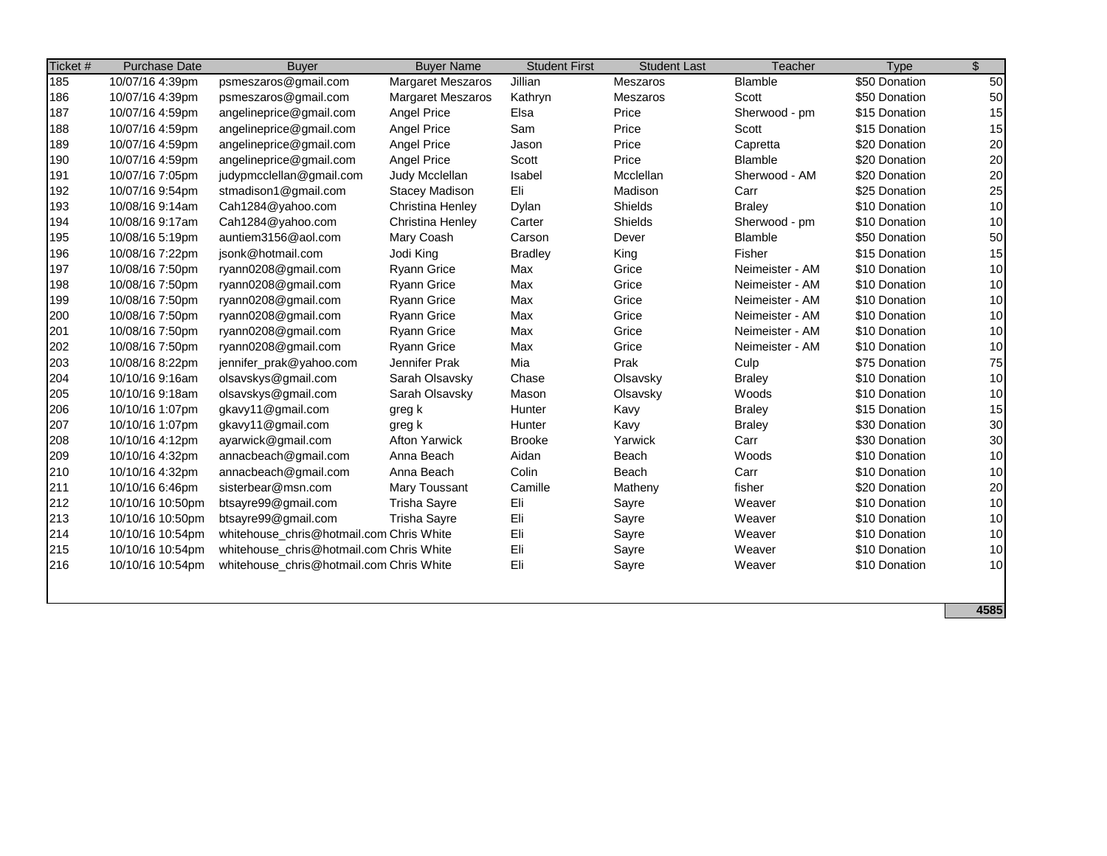| Ticket # | <b>Purchase Date</b> | <b>Buyer</b>                             | <b>Buyer Name</b>        | <b>Student First</b> | <b>Student Last</b> | Teacher         | <b>Type</b>   | $\mathfrak{S}$ |
|----------|----------------------|------------------------------------------|--------------------------|----------------------|---------------------|-----------------|---------------|----------------|
| 185      | 10/07/16 4:39pm      | psmeszaros@gmail.com                     | <b>Margaret Meszaros</b> | Jillian              | Meszaros            | Blamble         | \$50 Donation | 50             |
| 186      | 10/07/16 4:39pm      | psmeszaros@gmail.com                     | <b>Margaret Meszaros</b> | Kathryn              | Meszaros            | Scott           | \$50 Donation | 50             |
| 187      | 10/07/16 4:59pm      | angelineprice@gmail.com                  | <b>Angel Price</b>       | Elsa                 | Price               | Sherwood - pm   | \$15 Donation | 15             |
| 188      | 10/07/16 4:59pm      | angelineprice@gmail.com                  | Angel Price              | Sam                  | Price               | Scott           | \$15 Donation | 15             |
| 189      | 10/07/16 4:59pm      | angelineprice@gmail.com                  | Angel Price              | Jason                | Price               | Capretta        | \$20 Donation | 20             |
| 190      | 10/07/16 4:59pm      | angelineprice@gmail.com                  | Angel Price              | Scott                | Price               | Blamble         | \$20 Donation | 20             |
| 191      | 10/07/16 7:05pm      | judypmcclellan@gmail.com                 | Judy Mcclellan           | Isabel               | Mcclellan           | Sherwood - AM   | \$20 Donation | 20             |
| 192      | 10/07/16 9:54pm      | stmadison1@gmail.com                     | Stacey Madison           | Eli                  | Madison             | Carr            | \$25 Donation | 25             |
| 193      | 10/08/16 9:14am      | Cah1284@yahoo.com                        | Christina Henley         | Dylan                | Shields             | <b>Braley</b>   | \$10 Donation | 10             |
| 194      | 10/08/16 9:17am      | Cah1284@yahoo.com                        | Christina Henley         | Carter               | Shields             | Sherwood - pm   | \$10 Donation | 10             |
| 195      | 10/08/16 5:19pm      | auntiem3156@aol.com                      | Mary Coash               | Carson               | Dever               | Blamble         | \$50 Donation | 50             |
| 196      | 10/08/16 7:22pm      | jsonk@hotmail.com                        | Jodi King                | <b>Bradley</b>       | King                | Fisher          | \$15 Donation | 15             |
| 197      | 10/08/16 7:50pm      | ryann0208@gmail.com                      | <b>Ryann Grice</b>       | Max                  | Grice               | Neimeister - AM | \$10 Donation | 10             |
| 198      | 10/08/16 7:50pm      | ryann0208@gmail.com                      | <b>Ryann Grice</b>       | Max                  | Grice               | Neimeister - AM | \$10 Donation | 10             |
| 199      | 10/08/16 7:50pm      | ryann0208@gmail.com                      | <b>Ryann Grice</b>       | Max                  | Grice               | Neimeister - AM | \$10 Donation | 10             |
| 200      | 10/08/16 7:50pm      | ryann0208@gmail.com                      | <b>Ryann Grice</b>       | Max                  | Grice               | Neimeister - AM | \$10 Donation | 10             |
| 201      | 10/08/16 7:50pm      | ryann0208@gmail.com                      | <b>Ryann Grice</b>       | Max                  | Grice               | Neimeister - AM | \$10 Donation | 10             |
| 202      | 10/08/16 7:50pm      | ryann0208@gmail.com                      | <b>Ryann Grice</b>       | Max                  | Grice               | Neimeister - AM | \$10 Donation | 10             |
| 203      | 10/08/16 8:22pm      | jennifer_prak@yahoo.com                  | Jennifer Prak            | Mia                  | Prak                | Culp            | \$75 Donation | 75             |
| 204      | 10/10/16 9:16am      | olsavskys@gmail.com                      | Sarah Olsavsky           | Chase                | Olsavsky            | <b>Braley</b>   | \$10 Donation | 10             |
| 205      | 10/10/16 9:18am      | olsavskys@gmail.com                      | Sarah Olsavsky           | Mason                | Olsavsky            | Woods           | \$10 Donation | 10             |
| 206      | 10/10/16 1:07pm      | gkavy11@gmail.com                        | greg k                   | Hunter               | Kavy                | <b>Braley</b>   | \$15 Donation | 15             |
| 207      | 10/10/16 1:07pm      | gkavy11@gmail.com                        | greg k                   | Hunter               | Kavy                | <b>Braley</b>   | \$30 Donation | 30             |
| 208      | 10/10/16 4:12pm      | ayarwick@gmail.com                       | <b>Afton Yarwick</b>     | <b>Brooke</b>        | Yarwick             | Carr            | \$30 Donation | 30             |
| 209      | 10/10/16 4:32pm      | annacbeach@gmail.com                     | Anna Beach               | Aidan                | Beach               | Woods           | \$10 Donation | 10             |
| 210      | 10/10/16 4:32pm      | annacbeach@gmail.com                     | Anna Beach               | Colin                | Beach               | Carr            | \$10 Donation | 10             |
| 211      | 10/10/16 6:46pm      | sisterbear@msn.com                       | <b>Mary Toussant</b>     | Camille              | Matheny             | fisher          | \$20 Donation | 20             |
| 212      | 10/10/16 10:50pm     | btsayre99@gmail.com                      | <b>Trisha Sayre</b>      | Eli                  | Sayre               | Weaver          | \$10 Donation | 10             |
| 213      | 10/10/16 10:50pm     | btsayre99@gmail.com                      | <b>Trisha Sayre</b>      | Eli                  | Sayre               | Weaver          | \$10 Donation | 10             |
| 214      | 10/10/16 10:54pm     | whitehouse chris@hotmail.com Chris White |                          | Eli                  | Sayre               | Weaver          | \$10 Donation | 10             |
| 215      | 10/10/16 10:54pm     | whitehouse_chris@hotmail.com Chris White |                          | Eli                  | Sayre               | Weaver          | \$10 Donation | 10             |
| 216      | 10/10/16 10:54pm     | whitehouse_chris@hotmail.com Chris White |                          | Eli                  | Sayre               | Weaver          | \$10 Donation | 10             |
|          |                      |                                          |                          |                      |                     |                 |               |                |